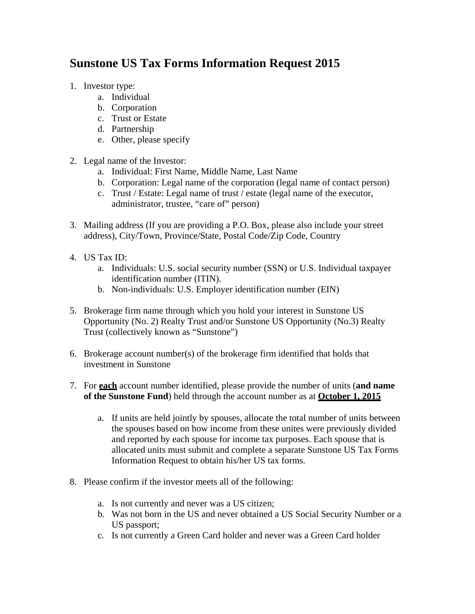## **Sunstone US Tax Forms Information Request 2015**

- 1. Investor type:
	- a. Individual
	- b. Corporation
	- c. Trust or Estate
	- d. Partnership
	- e. Other, please specify
- 2. Legal name of the Investor:
	- a. Individual: First Name, Middle Name, Last Name
	- b. Corporation: Legal name of the corporation (legal name of contact person)
	- c. Trust / Estate: Legal name of trust / estate (legal name of the executor, administrator, trustee, "care of" person)
- 3. Mailing address (If you are providing a P.O. Box, please also include your street address), City/Town, Province/State, Postal Code/Zip Code, Country
- 4. US Tax ID:
	- a. Individuals: U.S. social security number (SSN) or U.S. Individual taxpayer identification number (ITIN).
	- b. Non-individuals: U.S. Employer identification number (EIN)
- 5. Brokerage firm name through which you hold your interest in Sunstone US Opportunity (No. 2) Realty Trust and/or Sunstone US Opportunity (No.3) Realty Trust (collectively known as "Sunstone")
- 6. Brokerage account number(s) of the brokerage firm identified that holds that investment in Sunstone
- 7. For **each** account number identified, please provide the number of units (**and name of the Sunstone Fund**) held through the account number as at **October 1, 2015**
	- a. If units are held jointly by spouses, allocate the total number of units between the spouses based on how income from these unites were previously divided and reported by each spouse for income tax purposes. Each spouse that is allocated units must submit and complete a separate Sunstone US Tax Forms Information Request to obtain his/her US tax forms.
- 8. Please confirm if the investor meets all of the following:
	- a. Is not currently and never was a US citizen;
	- b. Was not born in the US and never obtained a US Social Security Number or a US passport;
	- c. Is not currently a Green Card holder and never was a Green Card holder